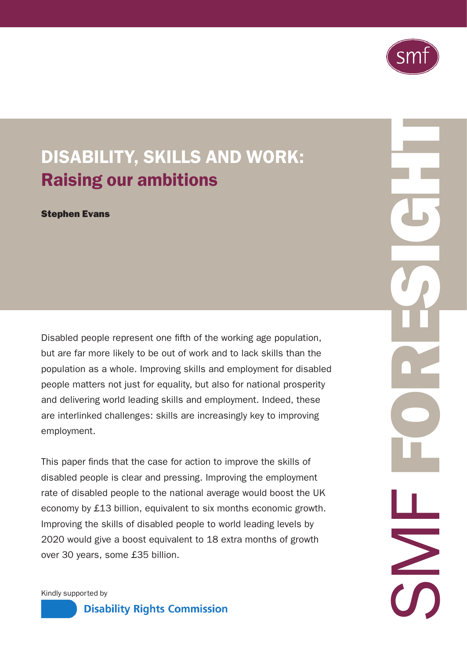

# DISABILITY, SKILLS AND WORK: Raising our ambitions

Stephen Evans

Disabled people represent one fifth of the working age population, but are far more likely to be out of work and to lack skills than the population as a whole. Improving skills and employment for disabled people matters not just for equality, but also for national prosperity and delivering world leading skills and employment. Indeed, these are interlinked challenges: skills are increasingly key to improving employment.

This paper finds that the case for action to improve the skills of disabled people is clear and pressing. Improving the employment rate of disabled people to the national average would boost the UK economy by £13 billion, equivalent to six months economic growth. Improving the skills of disabled people to world leading levels by 2020 would give a boost equivalent to 18 extra months of growth over 30 years, some £35 billion.

ESIGHT SMF FOR  $\geq$ 

Kindly supported by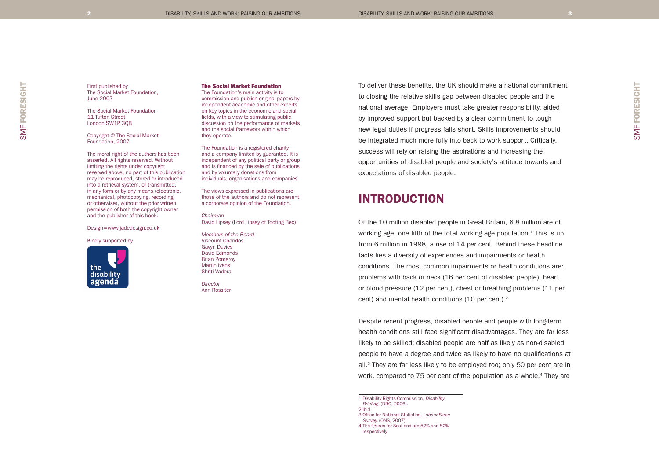First published by The Social Market Foundation, June 2007

The Social Market Foundation 11 Tufton Street London SW1P 3QB

Copyright © The Social Market Foundation, 2007

The moral right of the authors has been asserted. All rights reserved. Without limiting the rights under copyright reserved above, no part of this publication may be reproduced, stored or introduced into a retrieval system, or transmitted, in any form or by any means (electronic, mechanical, photocopying, recording, or otherwise), without the prior written permission of both the copyright owner and the publisher of this book.

#### Design=www.jadedesign.co.uk

#### Kindly supported by



#### The Social Market Foundation

The Foundation's main activity is to commission and publish original papers by independent academic and other experts on key topics in the economic and social fields, with a view to stimulating public discussion on the performance of markets and the social framework within which they operate.

The Foundation is a registered charity and a company limited by guarantee. It is independent of any political party or group and is financed by the sale of publications and by voluntary donations from individuals, organisations and companies.

The views expressed in publications are those of the authors and do not represent a corporate opinion of the Foundation.

*Chairman* David Lipsey (Lord Lipsey of Tooting Bec)

*Members of the Board* Viscount Chandos Gavyn Davies David Edmonds Brian Pomeroy Martin Ivens Shriti Vadera

*Director*  Ann Rossiter To deliver these benefits, the UK should make a national commitment to closing the relative skills gap between disabled people and the national average. Employers must take greater responsibility, aided by improved support but backed by a clear commitment to tough new legal duties if progress falls short. Skills improvements should be integrated much more fully into back to work support. Critically, success will rely on raising the aspirations and increasing the opportunities of disabled people and society's attitude towards and expectations of disabled people.

# INTRODUCTION

Of the 10 million disabled people in Great Britain, 6.8 million are of working age, one fifth of the total working age population. $1$  This is up from 6 million in 1998, a rise of 14 per cent. Behind these headline facts lies a diversity of experiences and impairments or health conditions. The most common impairments or health conditions are: problems with back or neck (16 per cent of disabled people), heart or blood pressure (12 per cent), chest or breathing problems (11 per cent) and mental health conditions (10 per cent).2

Despite recent progress, disabled people and people with long-term health conditions still face significant disadvantages. They are far less likely to be skilled; disabled people are half as likely as non-disabled people to have a degree and twice as likely to have no qualifications at all.<sup>3</sup> They are far less likely to be employed too; only 50 per cent are in work, compared to 75 per cent of the population as a whole.<sup>4</sup> They are

1 Disability Rights Commission, Disability Briefing, (DRC, 2006). 2 Ibid. 3 Office for National Statistics, Labour Force Survey, (ONS, 2007).

4 The figures for Scotland are 52% and 82% respectively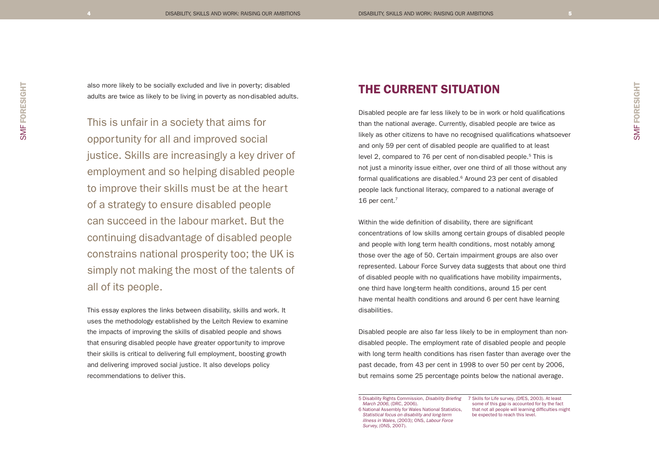also more likely to be socially excluded and live in poverty; disabled adults are twice as likely to be living in poverty as non-disabled adults.

This is unfair in a society that aims for opportunity for all and improved social justice. Skills are increasingly a key driver of employment and so helping disabled people to improve their skills must be at the heart of a strategy to ensure disabled people can succeed in the labour market. But the continuing disadvantage of disabled people constrains national prosperity too; the UK is simply not making the most of the talents of all of its people.

This essay explores the links between disability, skills and work. It uses the methodology established by the Leitch Review to examine the impacts of improving the skills of disabled people and shows that ensuring disabled people have greater opportunity to improve their skills is critical to delivering full employment, boosting growth and delivering improved social justice. It also develops policy recommendations to deliver this.

# THE CURRENT SITUATION

Disabled people are far less likely to be in work or hold qualifications than the national average. Currently, disabled people are twice as likely as other citizens to have no recognised qualifications whatsoever and only 59 per cent of disabled people are qualified to at least level 2, compared to 76 per cent of non-disabled people.<sup>5</sup> This is not just a minority issue either, over one third of all those without any formal qualifications are disabled.<sup>6</sup> Around 23 per cent of disabled people lack functional literacy, compared to a national average of 16 per cent. $7$ 

Within the wide definition of disability, there are significant concentrations of low skills among certain groups of disabled people and people with long term health conditions, most notably among those over the age of 50. Certain impairment groups are also over represented. Labour Force Survey data suggests that about one third of disabled people with no qualifications have mobility impairments, one third have long-term health conditions, around 15 per cent have mental health conditions and around 6 per cent have learning disabilities.

Disabled people are also far less likely to be in employment than nondisabled people. The employment rate of disabled people and people with long term health conditions has risen faster than average over the past decade, from 43 per cent in 1998 to over 50 per cent by 2006, but remains some 25 percentage points below the national average.

6 National Assembly for Wales National Statistics, Statistical focus on disability and long-term illness in Wales, (2003); ONS, Labour Force Survey, (ONS, 2007).

some of this gap is accounted for by the fact that not all people will learning difficulties might be expected to reach this level.

SMF FORESIGHT

<sup>5</sup> Disability Rights Commission, Disability Briefing 7 Skills for Life survey, (DfES, 2003). At least March 2006, (DRC, 2006).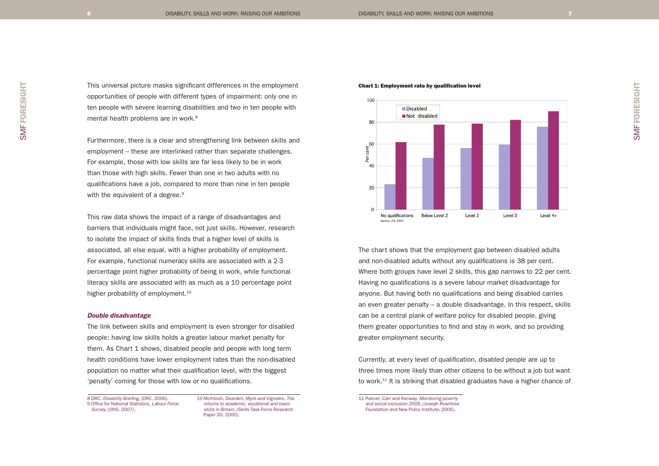SMF FORESIGHT SMF FORESIGHT

This universal picture masks significant differences in the employment opportunities of people with different types of impairment: only one in ten people with severe learning disabilities and two in ten people with mental health problems are in work.<sup>8</sup>

Furthermore, there is a clear and strengthening link between skills and employment – these are interlinked rather than separate challenges. For example, those with low skills are far less likely to be in work than those with high skills. Fewer than one in two adults with no qualifications have a job, compared to more than nine in ten people with the equivalent of a degree.<sup>9</sup>

This raw data shows the impact of a range of disadvantages and barriers that individuals might face, not just skills. However, research to isolate the impact of skills finds that a higher level of skills is associated, all else equal, with a higher probability of employment. For example, functional numeracy skills are associated with a 2-3 percentage point higher probability of being in work, while functional literacy skills are associated with as much as a 10 percentage point higher probability of employment.<sup>10</sup>

#### Double disadvantage

The link between skills and employment is even stronger for disabled people: having low skills holds a greater labour market penalty for them. As Chart 1 shows, disabled people and people with long term health conditions have lower employment rates than the non-disabled population no matter what their qualification level, with the biggest 'penalty' coming for those with low or no qualifications.

8 DRC, Disability Briefing, (DRC, 2006). 9 Office for National Statistics, Labour Force Survey, (ONS, 2007).

10 McIntosh, Dearden, Myck and Vignoles, The returns to academic, vocational and basic skills in Britain, (Skills Task Force Research Paper 20, 2000).





The chart shows that the employment gap between disabled adults and non-disabled adults without any qualifications is 38 per cent. Where both groups have level 2 skills, this gap narrows to 22 per cent. Having no qualifications is a severe labour market disadvantage for anyone. But having both no qualifications and being disabled carries an even greater penalty – a double disadvantage. In this respect, skills can be a central plank of welfare policy for disabled people, giving them greater opportunities to find and stay in work, and so providing greater employment security.

Currently, at every level of qualification, disabled people are up to three times more likely than other citizens to be without a job but want to work.11 It is striking that disabled graduates have a higher chance of

11 Palmer, Carr and Kenway, Monitoring poverty and social exclusion 2005, (Joseph Rowntree Foundation and New Policy Institute, 2005).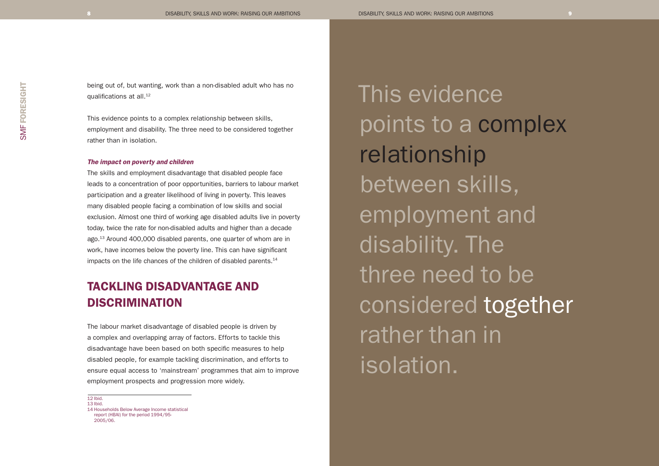being out of, but wanting, work than a non-disabled adult who has no qualifications at all.<sup>12</sup>

This evidence points to a complex relationship between skills, employment and disability. The three need to be considered together rather than in isolation.

#### The impact on poverty and children

The skills and employment disadvantage that disabled people face leads to a concentration of poor opportunities, barriers to labour market participation and a greater likelihood of living in poverty. This leaves many disabled people facing a combination of low skills and social exclusion. Almost one third of working age disabled adults live in poverty today, twice the rate for non-disabled adults and higher than a decade ago.13 Around 400,000 disabled parents, one quarter of whom are in work, have incomes below the poverty line. This can have significant impacts on the life chances of the children of disabled parents.<sup>14</sup>

# TACKLING DISADVANTAGE AND DISCRIMINATION

The labour market disadvantage of disabled people is driven by a complex and overlapping array of factors. Efforts to tackle this disadvantage have been based on both specific measures to help disabled people, for example tackling discrimination, and efforts to ensure equal access to 'mainstream' programmes that aim to improve employment prospects and progression more widely.

12 Ibid. 13 Ibid. 14 Households Below Average Income statistical report (HBAI) for the period 1994/95- 2005/06.

This evidence points to a complex relationship between skills, employment and disability. The three need to be considered together rather than in isolation.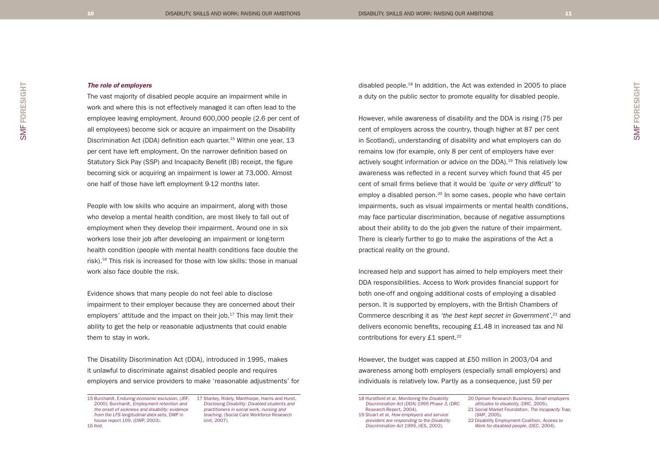## The role of employers

The vast majority of disabled people acquire an impairment while in work and where this is not effectively managed it can often lead to the employee leaving employment. Around 600,000 people (2.6 per cent of all employees) become sick or acquire an impairment on the Disability Discrimination Act (DDA) definition each quarter.15 Within one year, 13 per cent have left employment. On the narrower definition based on Statutory Sick Pay (SSP) and Incapacity Benefit (IB) receipt, the figure becoming sick or acquiring an impairment is lower at 73,000. Almost one half of those have left employment 9-12 months later.

People with low skills who acquire an impairment, along with those who develop a mental health condition, are most likely to fall out of employment when they develop their impairment. Around one in six workers lose their job after developing an impairment or long-term health condition (people with mental health conditions face double the risk).16 This risk is increased for those with low skills: those in manual work also face double the risk.

Evidence shows that many people do not feel able to disclose impairment to their employer because they are concerned about their employers' attitude and the impact on their job.<sup>17</sup> This may limit their ability to get the help or reasonable adjustments that could enable them to stay in work.

The Disability Discrimination Act (DDA), introduced in 1995, makes it unlawful to discriminate against disabled people and requires employers and service providers to make 'reasonable adjustments' for

15 Burchardt, Enduring economic exclusion, (JRF, 17 Stanley, Ridely, Manthorpe, Harris and Hurst, 2000); Burchardt, Employment retention and the onset of sickness and disability: evidence from the LFS longitudinal data sets, DWP in house report 109, (DWP, 2003). 16 Ibid.

Disclosing Disability: Disabled students and practitioners in social work, nursing and teaching, (Social Care Workforce Research Unit, 2007).

disabled people.18 In addition, the Act was extended in 2005 to place a duty on the public sector to promote equality for disabled people.

However, while awareness of disability and the DDA is rising (75 per cent of employers across the country, though higher at 87 per cent in Scotland), understanding of disability and what employers can do remains low (for example, only 8 per cent of employers have ever actively sought information or advice on the DDA).<sup>19</sup> This relatively low awareness was reflected in a recent survey which found that 45 per cent of small firms believe that it would be 'quite or very difficult' to employ a disabled person.<sup>20</sup> In some cases, people who have certain impairments, such as visual impairments or mental health conditions, may face particular discrimination, because of negative assumptions about their ability to do the job given the nature of their impairment. There is clearly further to go to make the aspirations of the Act a practical reality on the ground.

Increased help and support has aimed to help employers meet their DDA responsibilities. Access to Work provides financial support for both one-off and ongoing additional costs of employing a disabled person. It is supported by employers, with the British Chambers of Commerce describing it as 'the best kept secret in Government',<sup>21</sup> and delivers economic benefits, recouping £1.48 in increased tax and NI contributions for every  $£1$  spent.<sup>22</sup>

However, the budget was capped at £50 million in 2003/04 and awareness among both employers (especially small employers) and individuals is relatively low. Partly as a consequence, just 59 per

20 Opinion Research Business, Small employers attitudes to disability, (DRC, 2005). 21 Social Market Foundation, The Incapacity Trap,

(SMF, 2005). 22 Disability Employment Coalition, Access to

<sup>18</sup> Hurstfield et al, Monitoring the Disability Discrimination Act (DDA) 1995 Phase 3, (DRC Research Report, 2004). 19 Stuart et al, How employers and service providers are responding to the Disability Discrimination Act 1995, (IES, 2002).

Work for disabled people, (DEC, 2004).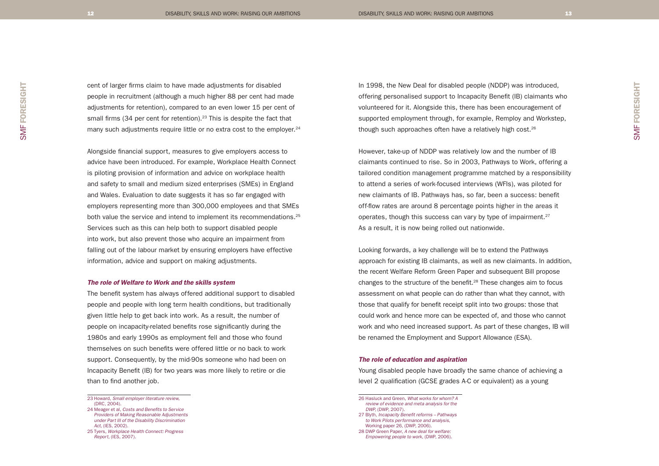cent of larger firms claim to have made adjustments for disabled people in recruitment (although a much higher 88 per cent had made adjustments for retention), compared to an even lower 15 per cent of small firms (34 per cent for retention).<sup>23</sup> This is despite the fact that many such adjustments require little or no extra cost to the employer.<sup>24</sup>

Alongside financial support, measures to give employers access to advice have been introduced. For example, Workplace Health Connect is piloting provision of information and advice on workplace health and safety to small and medium sized enterprises (SMEs) in England and Wales. Evaluation to date suggests it has so far engaged with employers representing more than 300,000 employees and that SMEs both value the service and intend to implement its recommendations.<sup>25</sup> Services such as this can help both to support disabled people into work, but also prevent those who acquire an impairment from falling out of the labour market by ensuring employers have effective information, advice and support on making adjustments.

#### The role of Welfare to Work and the skills system

The benefit system has always offered additional support to disabled people and people with long term health conditions, but traditionally given little help to get back into work. As a result, the number of people on incapacity-related benefits rose significantly during the 1980s and early 1990s as employment fell and those who found themselves on such benefits were offered little or no back to work support. Consequently, by the mid-90s someone who had been on Incapacity Benefit (IB) for two years was more likely to retire or die than to find another job.

In 1998, the New Deal for disabled people (NDDP) was introduced, offering personalised support to Incapacity Benefit (IB) claimants who volunteered for it. Alongside this, there has been encouragement of supported employment through, for example, Remploy and Workstep, though such approaches often have a relatively high cost.26

However, take-up of NDDP was relatively low and the number of IB claimants continued to rise. So in 2003, Pathways to Work, offering a tailored condition management programme matched by a responsibility to attend a series of work-focused interviews (WFIs), was piloted for new claimants of IB. Pathways has, so far, been a success: benefit off-flow rates are around 8 percentage points higher in the areas it operates, though this success can vary by type of impairment.<sup>27</sup> As a result, it is now being rolled out nationwide.

Looking forwards, a key challenge will be to extend the Pathways approach for existing IB claimants, as well as new claimants. In addition, the recent Welfare Reform Green Paper and subsequent Bill propose changes to the structure of the benefit.<sup>28</sup> These changes aim to focus assessment on what people can do rather than what they cannot, with those that qualify for benefit receipt split into two groups: those that could work and hence more can be expected of, and those who cannot work and who need increased support. As part of these changes, IB will be renamed the Employment and Support Allowance (ESA).

#### The role of education and aspiration

Young disabled people have broadly the same chance of achieving a level 2 qualification (GCSE grades A-C or equivalent) as a young

<sup>23</sup> Howard, Small employer literature review, (DRC, 2004).

<sup>24</sup> Meager et al, Costs and Benefits to Service Providers of Making Reasonable Adjustments under Part III of the Disability Discrimination Act, (IES, 2002). 25 Tyers, Workplace Health Connect: Progress

Report, (IES, 2007).

<sup>26</sup> Hasluck and Green, What works for whom? A review of evidence and meta analysis for the

DWP, (DWP, 2007).

<sup>27</sup> Blyth, Incapacity Benefit reforms – Pathways to Work Pilots performance and analysis, Working paper 26, (DWP, 2006). 28 DWP Green Paper, A new deal for welfare: Empowering people to work, (DWP, 2006).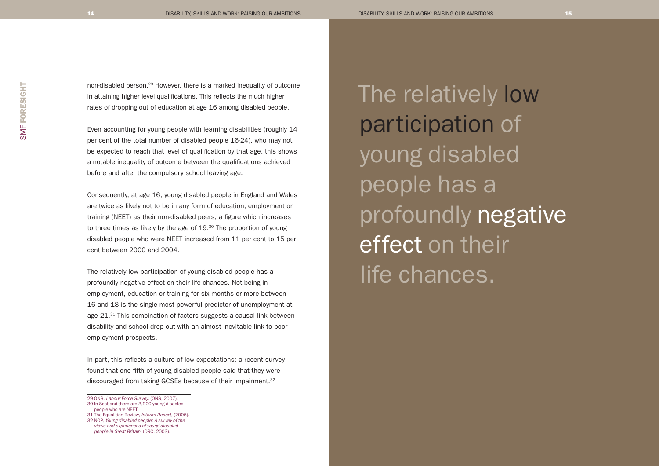non-disabled person.29 However, there is a marked inequality of outcome in attaining higher level qualifications. This reflects the much higher rates of dropping out of education at age 16 among disabled people.

Even accounting for young people with learning disabilities (roughly 14 per cent of the total number of disabled people 16-24), who may not be expected to reach that level of qualification by that age, this shows a notable inequality of outcome between the qualifications achieved before and after the compulsory school leaving age.

Consequently, at age 16, young disabled people in England and Wales are twice as likely not to be in any form of education, employment or training (NEET) as their non-disabled peers, a figure which increases to three times as likely by the age of 19.<sup>30</sup> The proportion of young disabled people who were NEET increased from 11 per cent to 15 per cent between 2000 and 2004.

The relatively low participation of young disabled people has a profoundly negative effect on their life chances. Not being in employment, education or training for six months or more between 16 and 18 is the single most powerful predictor of unemployment at age 21.<sup>31</sup> This combination of factors suggests a causal link between disability and school drop out with an almost inevitable link to poor employment prospects.

In part, this reflects a culture of low expectations: a recent survey found that one fifth of young disabled people said that they were discouraged from taking GCSEs because of their impairment.<sup>32</sup>

29 ONS, Labour Force Survey, (ONS, 2007). 30 In Scotland there are 3,900 young disabled The relatively low participation of young disabled people has a profoundly negative effect on their life chances.

people who are NEET. 31 The Equalities Review, Interim Report, (2006).

<sup>32</sup> NOP, Young disabled people: A survey of the

views and experiences of young disabled people in Great Britain, (DRC, 2003).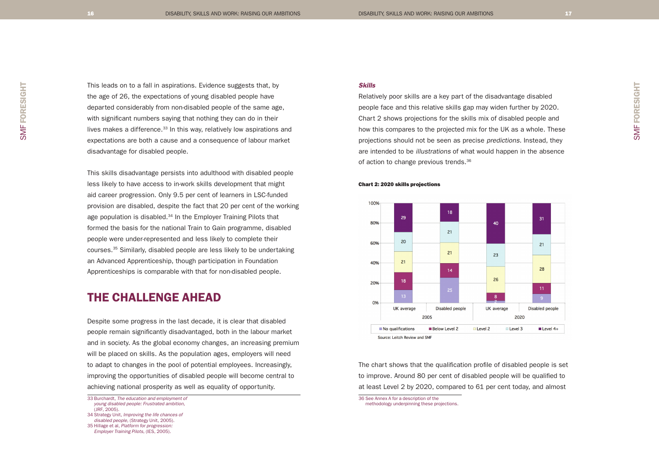This leads on to a fall in aspirations. Evidence suggests that, by the age of 26, the expectations of young disabled people have departed considerably from non-disabled people of the same age, with significant numbers saying that nothing they can do in their lives makes a difference.<sup>33</sup> In this way, relatively low aspirations and expectations are both a cause and a consequence of labour market disadvantage for disabled people.

This skills disadvantage persists into adulthood with disabled people less likely to have access to in-work skills development that might aid career progression. Only 9.5 per cent of learners in LSC-funded provision are disabled, despite the fact that 20 per cent of the working age population is disabled.<sup>34</sup> In the Employer Training Pilots that formed the basis for the national Train to Gain programme, disabled people were under-represented and less likely to complete their courses.35 Similarly, disabled people are less likely to be undertaking an Advanced Apprenticeship, though participation in Foundation Apprenticeships is comparable with that for non-disabled people.

## THE CHALLENGE AHEAD

Despite some progress in the last decade, it is clear that disabled people remain significantly disadvantaged, both in the labour market and in society. As the global economy changes, an increasing premium will be placed on skills. As the population ages, employers will need to adapt to changes in the pool of potential employees. Increasingly, improving the opportunities of disabled people will become central to achieving national prosperity as well as equality of opportunity.

### Skills

Chart 2: 2020 skills projections

Relatively poor skills are a key part of the disadvantage disabled people face and this relative skills gap may widen further by 2020. Chart 2 shows projections for the skills mix of disabled people and how this compares to the projected mix for the UK as a whole. These projections should not be seen as precise predictions. Instead, they are intended to be illustrations of what would happen in the absence of action to change previous trends.36



The chart shows that the qualification profile of disabled people is set to improve. Around 80 per cent of disabled people will be qualified to at least Level 2 by 2020, compared to 61 per cent today, and almost

<sup>33</sup> Burchardt, The education and employment of young disabled people: Frustrated ambition, (JRF, 2005). 34 Strategy Unit, Improving the life chances of

disabled people, (Strategy Unit, 2005). 35 Hillage et al, Platform for progression:

Employer Training Pilots, (IES, 2005).

<sup>36</sup> See Annex A for a description of the methodology underpinning these projections.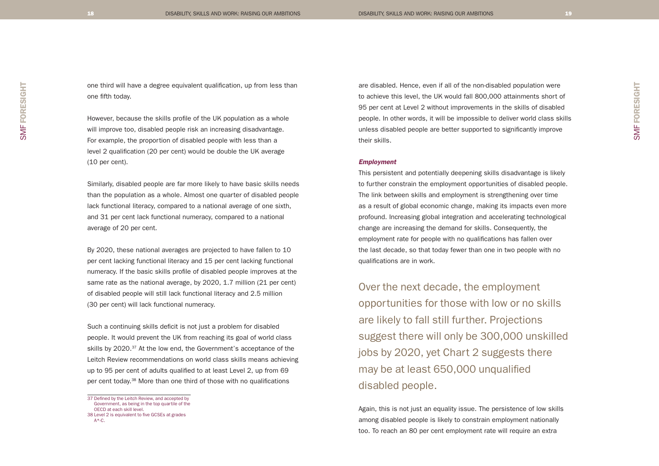one third will have a degree equivalent qualification, up from less than one fifth today.

However, because the skills profile of the UK population as a whole will improve too, disabled people risk an increasing disadvantage. For example, the proportion of disabled people with less than a level 2 qualification (20 per cent) would be double the UK average (10 per cent).

Similarly, disabled people are far more likely to have basic skills needs than the population as a whole. Almost one quarter of disabled people lack functional literacy, compared to a national average of one sixth, and 31 per cent lack functional numeracy, compared to a national average of 20 per cent.

By 2020, these national averages are projected to have fallen to 10 per cent lacking functional literacy and 15 per cent lacking functional numeracy. If the basic skills profile of disabled people improves at the same rate as the national average, by 2020, 1.7 million (21 per cent) of disabled people will still lack functional literacy and 2.5 million (30 per cent) will lack functional numeracy.

Such a continuing skills deficit is not just a problem for disabled people. It would prevent the UK from reaching its goal of world class skills by 2020.<sup>37</sup> At the low end, the Government's acceptance of the Leitch Review recommendations on world class skills means achieving up to 95 per cent of adults qualified to at least Level 2, up from 69 per cent today.38 More than one third of those with no qualifications

37 Defined by the Leitch Review, and accepted by Government, as being in the top quartile of the OECD at each skill level. 38 Level 2 is equivalent to five GCSEs at grades A\*-C.

are disabled. Hence, even if all of the non-disabled population were to achieve this level, the UK would fall 800,000 attainments short of 95 per cent at Level 2 without improvements in the skills of disabled people. In other words, it will be impossible to deliver world class skills unless disabled people are better supported to significantly improve their skills.

#### Employment

This persistent and potentially deepening skills disadvantage is likely to further constrain the employment opportunities of disabled people. The link between skills and employment is strengthening over time as a result of global economic change, making its impacts even more profound. Increasing global integration and accelerating technological change are increasing the demand for skills. Consequently, the employment rate for people with no qualifications has fallen over the last decade, so that today fewer than one in two people with no qualifications are in work.

Over the next decade, the employment opportunities for those with low or no skills are likely to fall still further. Projections suggest there will only be 300,000 unskilled jobs by 2020, yet Chart 2 suggests there may be at least 650,000 unqualified disabled people.

Again, this is not just an equality issue. The persistence of low skills among disabled people is likely to constrain employment nationally too. To reach an 80 per cent employment rate will require an extra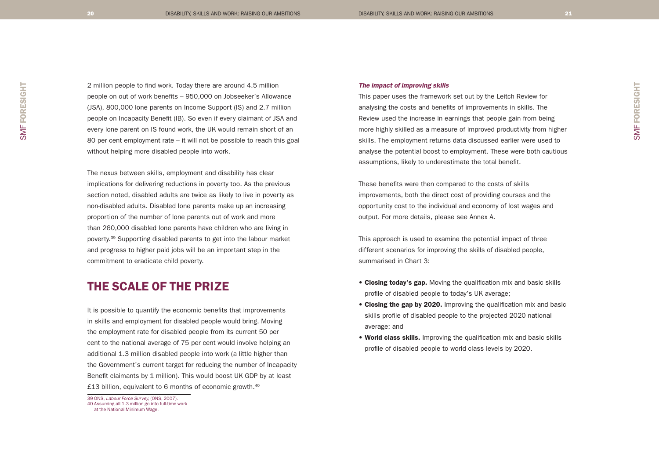2 million people to find work. Today there are around 4.5 million people on out of work benefits – 950,000 on Jobseeker's Allowance (JSA), 800,000 lone parents on Income Support (IS) and 2.7 million people on Incapacity Benefit (IB). So even if every claimant of JSA and every lone parent on IS found work, the UK would remain short of an 80 per cent employment rate – it will not be possible to reach this goal without helping more disabled people into work.

The nexus between skills, employment and disability has clear implications for delivering reductions in poverty too. As the previous section noted, disabled adults are twice as likely to live in poverty as non-disabled adults. Disabled lone parents make up an increasing proportion of the number of lone parents out of work and more than 260,000 disabled lone parents have children who are living in poverty.39 Supporting disabled parents to get into the labour market and progress to higher paid jobs will be an important step in the commitment to eradicate child poverty.

# THE SCALE OF THE PRIZE

It is possible to quantify the economic benefits that improvements in skills and employment for disabled people would bring. Moving the employment rate for disabled people from its current 50 per cent to the national average of 75 per cent would involve helping an additional 1.3 million disabled people into work (a little higher than the Government's current target for reducing the number of Incapacity Benefit claimants by 1 million). This would boost UK GDP by at least £13 billion, equivalent to 6 months of economic growth.<sup>40</sup>

## The impact of improving skills

This paper uses the framework set out by the Leitch Review for analysing the costs and benefits of improvements in skills. The Review used the increase in earnings that people gain from being more highly skilled as a measure of improved productivity from higher skills. The employment returns data discussed earlier were used to analyse the potential boost to employment. These were both cautious assumptions, likely to underestimate the total benefit.

These benefits were then compared to the costs of skills improvements, both the direct cost of providing courses and the opportunity cost to the individual and economy of lost wages and output. For more details, please see Annex A.

This approach is used to examine the potential impact of three different scenarios for improving the skills of disabled people, summarised in Chart 3:

- Closing today's gap. Moving the qualification mix and basic skills profile of disabled people to today's UK average;
- Closing the gap by 2020. Improving the qualification mix and basic skills profile of disabled people to the projected 2020 national average; and
- World class skills. Improving the qualification mix and basic skills profile of disabled people to world class levels by 2020.

SMF FORESIGHT

<sup>39</sup> ONS, Labour Force Survey, (ONS, 2007). 40 Assuming all 1.3 million go into full-time work at the National Minimum Wage.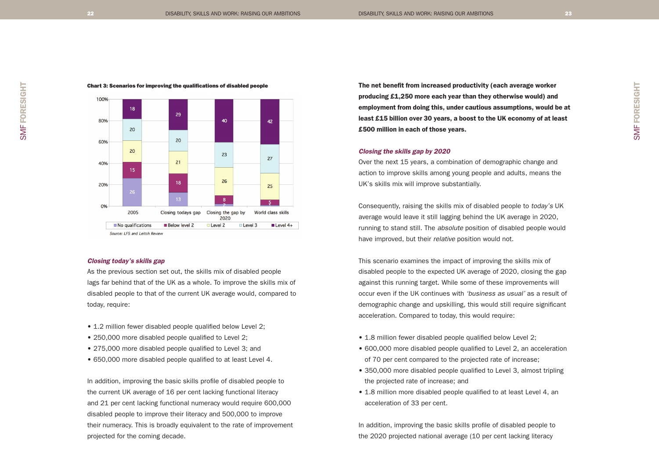SMF FORESIGHT

SMF FORESIGHT



#### Chart 3: Scenarios for improving the qualifications of disabled people

#### Closing today's skills gap

As the previous section set out, the skills mix of disabled people lags far behind that of the UK as a whole. To improve the skills mix of disabled people to that of the current UK average would, compared to today, require:

- 1.2 million fewer disabled people qualified below Level 2;
- 250,000 more disabled people qualified to Level 2;
- 275,000 more disabled people qualified to Level 3; and
- 650,000 more disabled people qualified to at least Level 4.

In addition, improving the basic skills profile of disabled people to the current UK average of 16 per cent lacking functional literacy and 21 per cent lacking functional numeracy would require 600,000 disabled people to improve their literacy and 500,000 to improve their numeracy. This is broadly equivalent to the rate of improvement projected for the coming decade.

The net benefit from increased productivity (each average worker producing £1,250 more each year than they otherwise would) and employment from doing this, under cautious assumptions, would be at least £15 billion over 30 years, a boost to the UK economy of at least £500 million in each of those years.

#### Closing the skills gap by 2020

Over the next 15 years, a combination of demographic change and action to improve skills among young people and adults, means the UK's skills mix will improve substantially.

Consequently, raising the skills mix of disabled people to today's UK average would leave it still lagging behind the UK average in 2020, running to stand still. The *absolute* position of disabled people would have improved, but their relative position would not.

This scenario examines the impact of improving the skills mix of disabled people to the expected UK average of 2020, closing the gap against this running target. While some of these improvements will occur even if the UK continues with 'business as usual' as a result of demographic change and upskilling, this would still require significant acceleration. Compared to today, this would require:

- 1.8 million fewer disabled people qualified below Level 2;
- 600,000 more disabled people qualified to Level 2, an acceleration of 70 per cent compared to the projected rate of increase;
- 350,000 more disabled people qualified to Level 3, almost tripling the projected rate of increase; and
- 1.8 million more disabled people qualified to at least Level 4, an acceleration of 33 per cent.

In addition, improving the basic skills profile of disabled people to the 2020 projected national average (10 per cent lacking literacy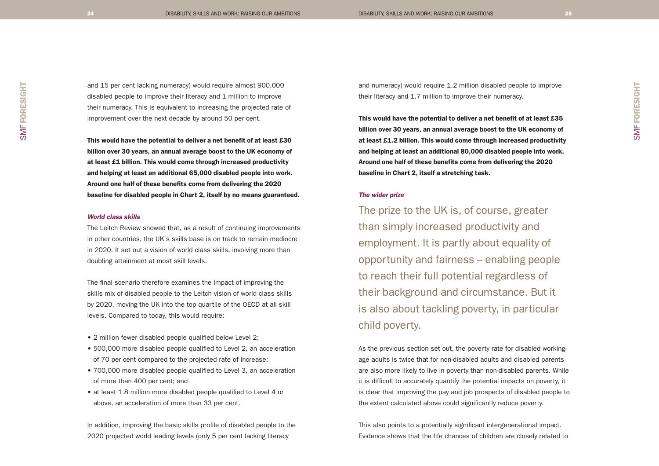and 15 per cent lacking numeracy) would require almost 900,000 disabled people to improve their literacy and 1 million to improve their numeracy. This is equivalent to increasing the projected rate of improvement over the next decade by around 50 per cent.

This would have the potential to deliver a net benefit of at least £30 billion over 30 years, an annual average boost to the UK economy of at least £1 billion. This would come through increased productivity and helping at least an additional 65,000 disabled people into work. Around one half of these benefits come from delivering the 2020 baseline for disabled people in Chart 2, itself by no means guaranteed.

### World class skills

The Leitch Review showed that, as a result of continuing improvements in other countries, the UK's skills base is on track to remain mediocre in 2020. It set out a vision of world class skills, involving more than doubling attainment at most skill levels.

The final scenario therefore examines the impact of improving the skills mix of disabled people to the Leitch vision of world class skills by 2020, moving the UK into the top quartile of the OECD at all skill levels. Compared to today, this would require:

- 2 million fewer disabled people qualified below Level 2;
- 500,000 more disabled people qualified to Level 2, an acceleration of 70 per cent compared to the projected rate of increase;
- 700,000 more disabled people qualified to Level 3, an acceleration of more than 400 per cent; and
- at least 1.8 million more disabled people qualified to Level 4 or above, an acceleration of more than 33 per cent.

In addition, improving the basic skills profile of disabled people to the 2020 projected world leading levels (only 5 per cent lacking literacy

and numeracy) would require 1.2 million disabled people to improve their literacy and 1.7 million to improve their numeracy.

This would have the potential to deliver a net benefit of at least £35 billion over 30 years, an annual average boost to the UK economy of at least £1.2 billion. This would come through increased productivity and helping at least an additional 80,000 disabled people into work. Around one half of these benefits come from delivering the 2020 baseline in Chart 2, itself a stretching task.

### The wider prize

The prize to the UK is, of course, greater than simply increased productivity and employment. It is partly about equality of opportunity and fairness – enabling people to reach their full potential regardless of their background and circumstance. But it is also about tackling poverty, in particular child poverty.

As the previous section set out, the poverty rate for disabled workingage adults is twice that for non-disabled adults and disabled parents are also more likely to live in poverty than non-disabled parents. While it is difficult to accurately quantify the potential impacts on poverty, it is clear that improving the pay and job prospects of disabled people to the extent calculated above could significantly reduce poverty.

This also points to a potentially significant intergenerational impact. Evidence shows that the life chances of children are closely related to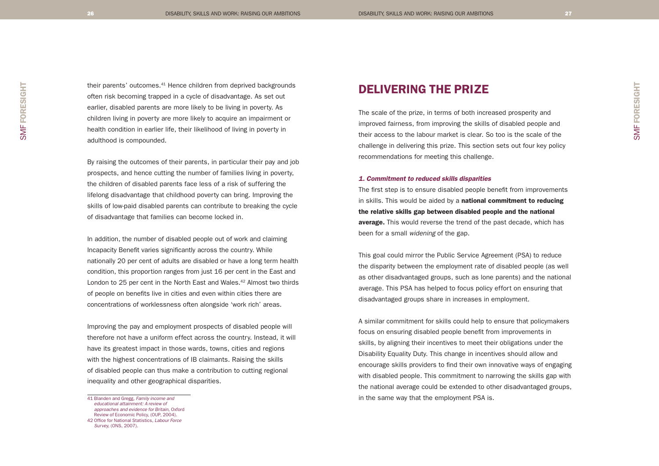their parents' outcomes.41 Hence children from deprived backgrounds often risk becoming trapped in a cycle of disadvantage. As set out earlier, disabled parents are more likely to be living in poverty. As children living in poverty are more likely to acquire an impairment or health condition in earlier life, their likelihood of living in poverty in adulthood is compounded.

By raising the outcomes of their parents, in particular their pay and job prospects, and hence cutting the number of families living in poverty, the children of disabled parents face less of a risk of suffering the lifelong disadvantage that childhood poverty can bring. Improving the skills of low-paid disabled parents can contribute to breaking the cycle of disadvantage that families can become locked in.

In addition, the number of disabled people out of work and claiming Incapacity Benefit varies significantly across the country. While nationally 20 per cent of adults are disabled or have a long term health condition, this proportion ranges from just 16 per cent in the East and London to 25 per cent in the North East and Wales.<sup>42</sup> Almost two thirds of people on benefits live in cities and even within cities there are concentrations of worklessness often alongside 'work rich' areas.

Improving the pay and employment prospects of disabled people will therefore not have a uniform effect across the country. Instead, it will have its greatest impact in those wards, towns, cities and regions with the highest concentrations of IB claimants. Raising the skills of disabled people can thus make a contribution to cutting regional inequality and other geographical disparities.

# DELIVERING THE PRIZE

The scale of the prize, in terms of both increased prosperity and improved fairness, from improving the skills of disabled people and their access to the labour market is clear. So too is the scale of the challenge in delivering this prize. This section sets out four key policy recommendations for meeting this challenge.

#### 1. Commitment to reduced skills disparities

The first step is to ensure disabled people benefit from improvements in skills. This would be aided by a national commitment to reducing the relative skills gap between disabled people and the national average. This would reverse the trend of the past decade, which has been for a small widening of the gap.

This goal could mirror the Public Service Agreement (PSA) to reduce the disparity between the employment rate of disabled people (as well as other disadvantaged groups, such as lone parents) and the national average. This PSA has helped to focus policy effort on ensuring that disadvantaged groups share in increases in employment.

A similar commitment for skills could help to ensure that policymakers focus on ensuring disabled people benefit from improvements in skills, by aligning their incentives to meet their obligations under the Disability Equality Duty. This change in incentives should allow and encourage skills providers to find their own innovative ways of engaging with disabled people. This commitment to narrowing the skills gap with the national average could be extended to other disadvantaged groups, 41 Blanden and Gregg, Family income and in the same way that the employment PSA is.

educational attainment: A review of approaches and evidence for Britain, Oxford Review of Economic Policy, (OUP, 2004). 42 Office for National Statistics, Labour Force Survey, (ONS, 2007).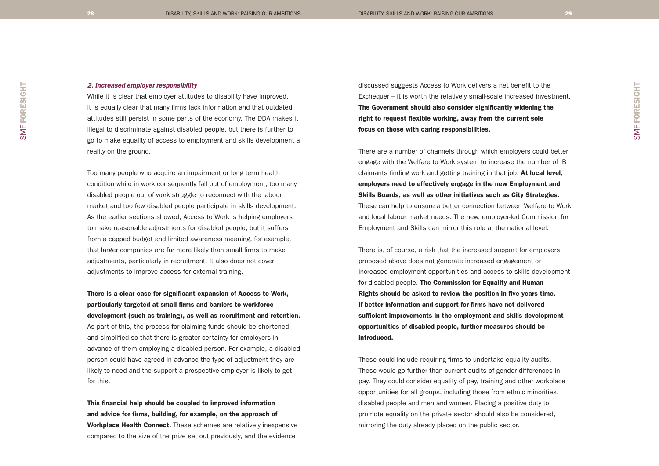## 2. Increased employer responsibility

While it is clear that employer attitudes to disability have improved, it is equally clear that many firms lack information and that outdated attitudes still persist in some parts of the economy. The DDA makes it illegal to discriminate against disabled people, but there is further to go to make equality of access to employment and skills development a reality on the ground.

Too many people who acquire an impairment or long term health condition while in work consequently fall out of employment, too many disabled people out of work struggle to reconnect with the labour market and too few disabled people participate in skills development. As the earlier sections showed, Access to Work is helping employers to make reasonable adjustments for disabled people, but it suffers from a capped budget and limited awareness meaning, for example, that larger companies are far more likely than small firms to make adjustments, particularly in recruitment. It also does not cover adjustments to improve access for external training.

There is a clear case for significant expansion of Access to Work, particularly targeted at small firms and barriers to workforce development (such as training), as well as recruitment and retention. As part of this, the process for claiming funds should be shortened and simplified so that there is greater certainty for employers in advance of them employing a disabled person. For example, a disabled person could have agreed in advance the type of adjustment they are likely to need and the support a prospective employer is likely to get for this.

This financial help should be coupled to improved information and advice for firms, building, for example, on the approach of Workplace Health Connect. These schemes are relatively inexpensive compared to the size of the prize set out previously, and the evidence

discussed suggests Access to Work delivers a net benefit to the Exchequer – it is worth the relatively small-scale increased investment. The Government should also consider significantly widening the right to request flexible working, away from the current sole focus on those with caring responsibilities.

There are a number of channels through which employers could better engage with the Welfare to Work system to increase the number of IB claimants finding work and getting training in that job. At local level, employers need to effectively engage in the new Employment and Skills Boards, as well as other initiatives such as City Strategies. These can help to ensure a better connection between Welfare to Work and local labour market needs. The new, employer-led Commission for Employment and Skills can mirror this role at the national level.

There is, of course, a risk that the increased support for employers proposed above does not generate increased engagement or increased employment opportunities and access to skills development for disabled people. The Commission for Equality and Human Rights should be asked to review the position in five years time. If better information and support for firms have not delivered sufficient improvements in the employment and skills development opportunities of disabled people, further measures should be introduced.

These could include requiring firms to undertake equality audits. These would go further than current audits of gender differences in pay. They could consider equality of pay, training and other workplace opportunities for all groups, including those from ethnic minorities, disabled people and men and women. Placing a positive duty to promote equality on the private sector should also be considered, mirroring the duty already placed on the public sector.

SMF FORESIGHT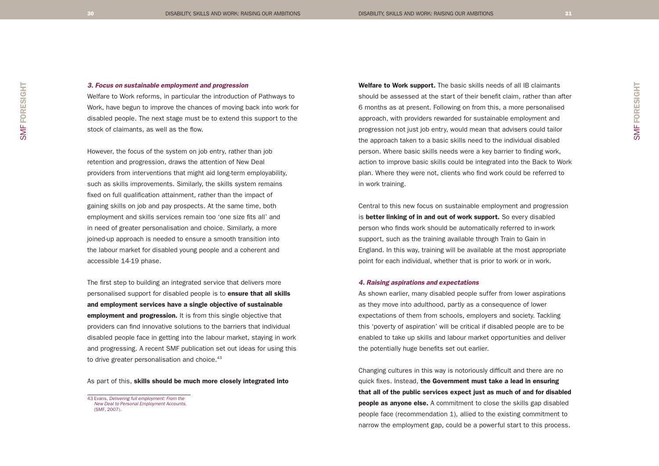## 3. Focus on sustainable employment and progression

Welfare to Work reforms, in particular the introduction of Pathways to Work, have begun to improve the chances of moving back into work for disabled people. The next stage must be to extend this support to the stock of claimants, as well as the flow.

However, the focus of the system on job entry, rather than job retention and progression, draws the attention of New Deal providers from interventions that might aid long-term employability, such as skills improvements. Similarly, the skills system remains fixed on full qualification attainment, rather than the impact of gaining skills on job and pay prospects. At the same time, both employment and skills services remain too 'one size fits all' and in need of greater personalisation and choice. Similarly, a more joined-up approach is needed to ensure a smooth transition into the labour market for disabled young people and a coherent and accessible 14-19 phase.

The first step to building an integrated service that delivers more personalised support for disabled people is to ensure that all skills and employment services have a single objective of sustainable employment and progression. It is from this single objective that providers can find innovative solutions to the barriers that individual disabled people face in getting into the labour market, staying in work and progressing. A recent SMF publication set out ideas for using this to drive greater personalisation and choice.<sup>43</sup>

### As part of this, skills should be much more closely integrated into

43 Evans, Delivering full employment: From the New Deal to Personal Employment Accounts, (SMF, 2007).

Welfare to Work support. The basic skills needs of all IB claimants should be assessed at the start of their benefit claim, rather than after 6 months as at present. Following on from this, a more personalised approach, with providers rewarded for sustainable employment and progression not just job entry, would mean that advisers could tailor the approach taken to a basic skills need to the individual disabled person. Where basic skills needs were a key barrier to finding work, action to improve basic skills could be integrated into the Back to Work plan. Where they were not, clients who find work could be referred to in work training.

Central to this new focus on sustainable employment and progression is better linking of in and out of work support. So every disabled person who finds work should be automatically referred to in-work support, such as the training available through Train to Gain in England. In this way, training will be available at the most appropriate point for each individual, whether that is prior to work or in work.

#### 4. Raising aspirations and expectations

As shown earlier, many disabled people suffer from lower aspirations as they move into adulthood, partly as a consequence of lower expectations of them from schools, employers and society. Tackling this 'poverty of aspiration' will be critical if disabled people are to be enabled to take up skills and labour market opportunities and deliver the potentially huge benefits set out earlier.

Changing cultures in this way is notoriously difficult and there are no quick fixes. Instead, the Government must take a lead in ensuring that all of the public services expect just as much of and for disabled **people as anyone else.** A commitment to close the skills gap disabled people face (recommendation 1), allied to the existing commitment to narrow the employment gap, could be a powerful start to this process.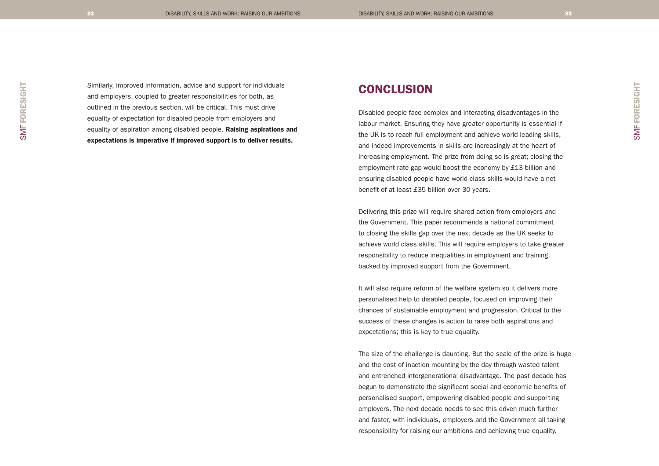Similarly, improved information, advice and support for individuals and employers, coupled to greater responsibilities for both, as outlined in the previous section, will be critical. This must drive equality of expectation for disabled people from employers and equality of aspiration among disabled people. Raising aspirations and expectations is imperative if improved support is to deliver results.

## **CONCLUSION**

Disabled people face complex and interacting disadvantages in the labour market. Ensuring they have greater opportunity is essential if the UK is to reach full employment and achieve world leading skills, and indeed improvements in skills are increasingly at the heart of increasing employment. The prize from doing so is great; closing the employment rate gap would boost the economy by £13 billion and ensuring disabled people have world class skills would have a net benefit of at least £35 billion over 30 years.

Delivering this prize will require shared action from employers and the Government. This paper recommends a national commitment to closing the skills gap over the next decade as the UK seeks to achieve world class skills. This will require employers to take greater responsibility to reduce inequalities in employment and training, backed by improved support from the Government.

It will also require reform of the welfare system so it delivers more personalised help to disabled people, focused on improving their chances of sustainable employment and progression. Critical to the success of these changes is action to raise both aspirations and expectations; this is key to true equality.

The size of the challenge is daunting. But the scale of the prize is huge and the cost of inaction mounting by the day through wasted talent and entrenched intergenerational disadvantage. The past decade has begun to demonstrate the significant social and economic benefits of personalised support, empowering disabled people and supporting employers. The next decade needs to see this driven much further and faster, with individuals, employers and the Government all taking responsibility for raising our ambitions and achieving true equality.

SMF FORESIGHT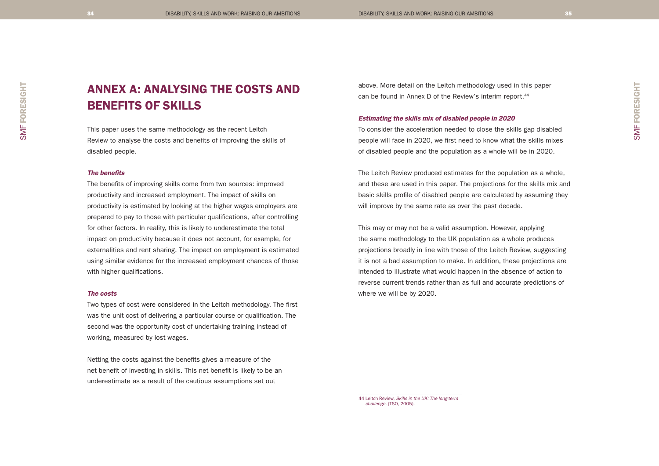SMF FORESIGHT

SMF FORESIGHT

# ANNEX A: ANALYSING THE COSTS AND BENEFITS OF SKILLS

This paper uses the same methodology as the recent Leitch Review to analyse the costs and benefits of improving the skills of disabled people.

#### The benefits

The benefits of improving skills come from two sources: improved productivity and increased employment. The impact of skills on productivity is estimated by looking at the higher wages employers are prepared to pay to those with particular qualifications, after controlling for other factors. In reality, this is likely to underestimate the total impact on productivity because it does not account, for example, for externalities and rent sharing. The impact on employment is estimated using similar evidence for the increased employment chances of those with higher qualifications.

#### The costs

Two types of cost were considered in the Leitch methodology. The first was the unit cost of delivering a particular course or qualification. The second was the opportunity cost of undertaking training instead of working, measured by lost wages.

Netting the costs against the benefits gives a measure of the net benefit of investing in skills. This net benefit is likely to be an underestimate as a result of the cautious assumptions set out

above. More detail on the Leitch methodology used in this paper can be found in Annex D of the Review's interim report.<sup>44</sup>

#### Estimating the skills mix of disabled people in 2020

To consider the acceleration needed to close the skills gap disabled people will face in 2020, we first need to know what the skills mixes of disabled people and the population as a whole will be in 2020.

The Leitch Review produced estimates for the population as a whole, and these are used in this paper. The projections for the skills mix and basic skills profile of disabled people are calculated by assuming they will improve by the same rate as over the past decade.

This may or may not be a valid assumption. However, applying the same methodology to the UK population as a whole produces projections broadly in line with those of the Leitch Review, suggesting it is not a bad assumption to make. In addition, these projections are intended to illustrate what would happen in the absence of action to reverse current trends rather than as full and accurate predictions of where we will be by 2020.

44 Leitch Review, Skills in the UK: The long-term challenge, (TSO, 2005).